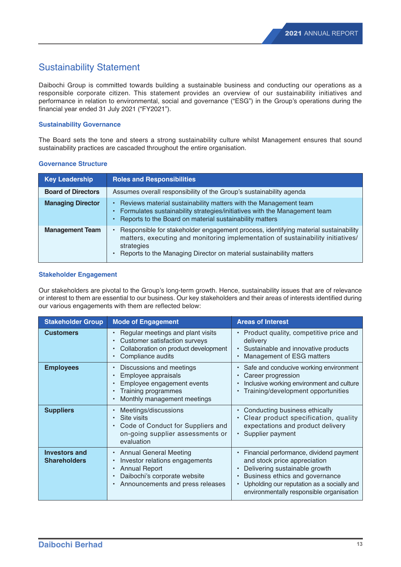# Sustainability Statement

Daibochi Group is committed towards building a sustainable business and conducting our operations as a responsible corporate citizen. This statement provides an overview of our sustainability initiatives and performance in relation to environmental, social and governance ("ESG") in the Group's operations during the financial year ended 31 July 2021 ("FY2021").

## **Sustainability Governance**

The Board sets the tone and steers a strong sustainability culture whilst Management ensures that sound sustainability practices are cascaded throughout the entire organisation.

| <b>Key Leadership</b>     | <b>Roles and Responsibilities</b>                                                                                                                                                                                                                           |
|---------------------------|-------------------------------------------------------------------------------------------------------------------------------------------------------------------------------------------------------------------------------------------------------------|
| <b>Board of Directors</b> | Assumes overall responsibility of the Group's sustainability agenda                                                                                                                                                                                         |
| <b>Managing Director</b>  | • Reviews material sustainability matters with the Management team<br>• Formulates sustainability strategies/initiatives with the Management team<br>Reports to the Board on material sustainability matters<br>٠                                           |
| <b>Management Team</b>    | Responsible for stakeholder engagement process, identifying material sustainability<br>matters, executing and monitoring implementation of sustainability initiatives/<br>strategies<br>Reports to the Managing Director on material sustainability matters |

## **Governance Structure**

## **Stakeholder Engagement**

Our stakeholders are pivotal to the Group's long-term growth. Hence, sustainability issues that are of relevance or interest to them are essential to our business. Our key stakeholders and their areas of interests identified during our various engagements with them are reflected below:

| <b>Stakeholder Group</b>                    | <b>Mode of Engagement</b>                                                                                                                                                                                            | <b>Areas of Interest</b>                                                                                                                                                                                                             |
|---------------------------------------------|----------------------------------------------------------------------------------------------------------------------------------------------------------------------------------------------------------------------|--------------------------------------------------------------------------------------------------------------------------------------------------------------------------------------------------------------------------------------|
| <b>Customers</b>                            | Regular meetings and plant visits<br>$\bullet$<br>Customer satisfaction surveys<br>Collaboration on product development<br>Compliance audits<br>$\bullet$                                                            | • Product quality, competitive price and<br>delivery<br>Sustainable and innovative products<br>Management of ESG matters                                                                                                             |
| <b>Employees</b>                            | Discussions and meetings<br>$\bullet$<br>Employee appraisals<br>Employee engagement events<br>Training programmes<br>$\bullet$<br>Monthly management meetings                                                        | Safe and conducive working environment<br>Career progression<br>Inclusive working environment and culture<br>Training/development opportunities                                                                                      |
| <b>Suppliers</b>                            | Meetings/discussions<br>Site visits<br>Code of Conduct for Suppliers and<br>$\bullet$<br>on-going supplier assessments or<br>evaluation                                                                              | Conducting business ethically<br>Clear product specification, quality<br>expectations and product delivery<br>Supplier payment<br>$\bullet$                                                                                          |
| <b>Investors and</b><br><b>Shareholders</b> | <b>Annual General Meeting</b><br>٠<br>Investor relations engagements<br>$\bullet$<br><b>Annual Report</b><br>$\bullet$<br>Daibochi's corporate website<br>$\bullet$<br>Announcements and press releases<br>$\bullet$ | Financial performance, dividend payment<br>and stock price appreciation<br>Delivering sustainable growth<br>Business ethics and governance<br>Upholding our reputation as a socially and<br>environmentally responsible organisation |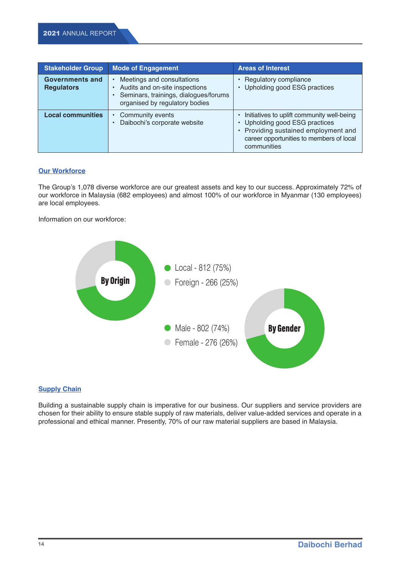| <b>Stakeholder Group</b>                    | <b>Mode of Engagement</b>                                                                                                               | <b>Areas of Interest</b>                                                                                                                                                        |
|---------------------------------------------|-----------------------------------------------------------------------------------------------------------------------------------------|---------------------------------------------------------------------------------------------------------------------------------------------------------------------------------|
| <b>Governments and</b><br><b>Regulators</b> | Meetings and consultations<br>Audits and on-site inspections<br>Seminars, trainings, dialogues/forums<br>organised by regulatory bodies | Regulatory compliance<br>Upholding good ESG practices                                                                                                                           |
| <b>Local communities</b>                    | Community events<br>$\bullet$<br>Daibochi's corporate website                                                                           | Initiatives to uplift community well-being<br>• Upholding good ESG practices<br>• Providing sustained employment and<br>career opportunities to members of local<br>communities |

## **Our Workforce**

The Group's 1,078 diverse workforce are our greatest assets and key to our success. Approximately 72% of our workforce in Malaysia (682 employees) and almost 100% of our workforce in Myanmar (130 employees) are local employees.

Information on our workforce:



# **Supply Chain**

Building a sustainable supply chain is imperative for our business. Our suppliers and service providers are chosen for their ability to ensure stable supply of raw materials, deliver value-added services and operate in a professional and ethical manner. Presently, 70% of our raw material suppliers are based in Malaysia.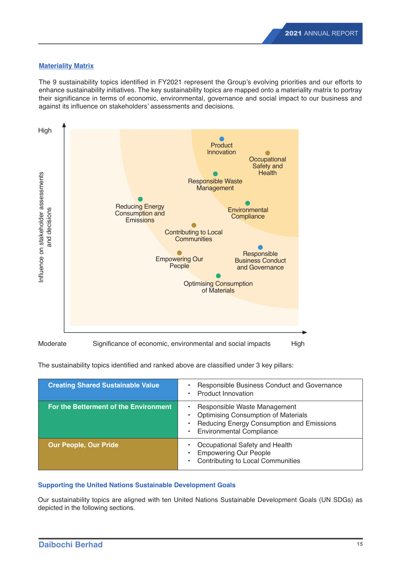# **Materiality Matrix**

The 9 sustainability topics identified in FY2021 represent the Group's evolving priorities and our efforts to enhance sustainability initiatives. The key sustainability topics are mapped onto a materiality matrix to portray their significance in terms of economic, environmental, governance and social impact to our business and against its influence on stakeholders' assessments and decisions.



The sustainability topics identified and ranked above are classified under 3 key pillars:

| <b>Creating Shared Sustainable Value</b> | Responsible Business Conduct and Governance<br><b>Product Innovation</b>                                                                                   |
|------------------------------------------|------------------------------------------------------------------------------------------------------------------------------------------------------------|
| For the Betterment of the Environment    | Responsible Waste Management<br><b>Optimising Consumption of Materials</b><br>Reducing Energy Consumption and Emissions<br><b>Environmental Compliance</b> |
| <b>Our People, Our Pride</b>             | Occupational Safety and Health<br><b>Empowering Our People</b><br>Contributing to Local Communities                                                        |

## **Supporting the United Nations Sustainable Development Goals**

Our sustainability topics are aligned with ten United Nations Sustainable Development Goals (UN SDGs) as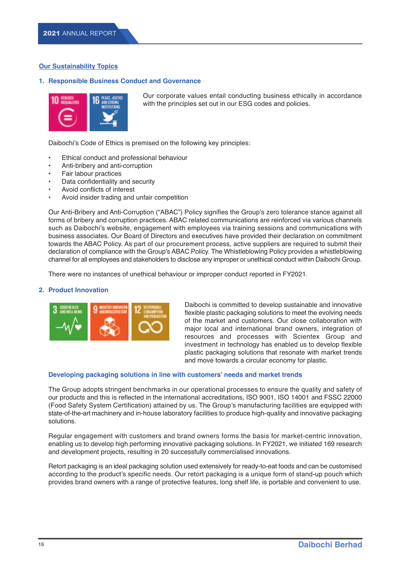# **Our Sustainability Topics**

## **1. Responsible Business Conduct and Governance**



Our corporate values entail conducting business ethically in accordance with the principles set out in our ESG codes and policies.

Daibochi's Code of Ethics is premised on the following key principles:

- Ethical conduct and professional behaviour
- Anti-bribery and anti-corruption
- Fair labour practices
- Data confidentiality and security
- Avoid conflicts of interest
- Avoid insider trading and unfair competition

 Our Anti-Bribery and Anti-Corruption ("ABAC") Policy signifies the Group's zero tolerance stance against all forms of bribery and corruption practices. ABAC related communications are reinforced via various channels such as Daibochi's website, engagement with employees via training sessions and communications with business associates. Our Board of Directors and executives have provided their declaration on commitment towards the ABAC Policy. As part of our procurement process, active suppliers are required to submit their declaration of compliance with the Group's ABAC Policy. The Whistleblowing Policy provides a whistleblowing channel for all employees and stakeholders to disclose any improper or unethical conduct within Daibochi Group.

There were no instances of unethical behaviour or improper conduct reported in FY2021.

## **2. Product Innovation**



Daibochi is committed to develop sustainable and innovative flexible plastic packaging solutions to meet the evolving needs of the market and customers. Our close collaboration with major local and international brand owners, integration of resources and processes with Scientex Group and investment in technology has enabled us to develop flexible plastic packaging solutions that resonate with market trends and move towards a circular economy for plastic.

## **Developing packaging solutions in line with customers' needs and market trends**

 The Group adopts stringent benchmarks in our operational processes to ensure the quality and safety of our products and this is reflected in the international accreditations, ISO 9001, ISO 14001 and FSSC 22000 (Food Safety System Certification) attained by us. The Group's manufacturing facilities are equipped with state-of-the-art machinery and in-house laboratory facilities to produce high-quality and innovative packaging solutions.

 Regular engagement with customers and brand owners forms the basis for market-centric innovation, enabling us to develop high performing innovative packaging solutions. In FY2021, we initiated 169 research and development projects, resulting in 20 successfully commercialised innovations.

 Retort packaging is an ideal packaging solution used extensively for ready-to-eat foods and can be customised according to the product's specific needs. Our retort packaging is a unique form of stand-up pouch which provides brand owners with a range of protective features, long shelf life, is portable and convenient to use.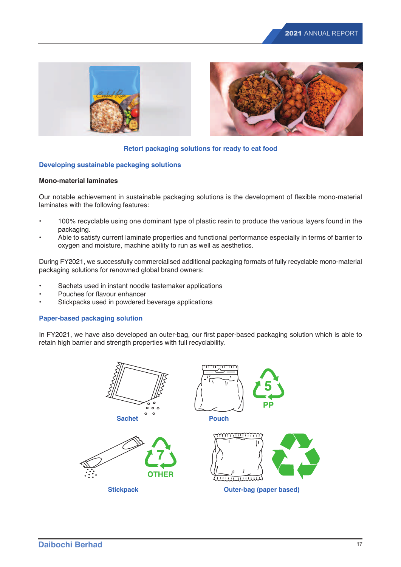



## **Retort packaging solutions for ready to eat food**

## **Developing sustainable packaging solutions**

## **Mono-material laminates**

Our notable achievement in sustainable packaging solutions is the development of flexible mono-material laminates with the following features:

- 100% recyclable using one dominant type of plastic resin to produce the various layers found in the packaging.
- Able to satisfy current laminate properties and functional performance especially in terms of barrier to oxygen and moisture, machine ability to run as well as aesthetics.

During FY2021, we successfully commercialised additional packaging formats of fully recyclable mono-material packaging solutions for renowned global brand owners:

- Sachets used in instant noodle tastemaker applications
- Pouches for flavour enhancer
- Stickpacks used in powdered beverage applications

## **Paper-based packaging solution**

In FY2021, we have also developed an outer-bag, our first paper-based packaging solution which is able to retain high barrier and strength properties with full recyclability.

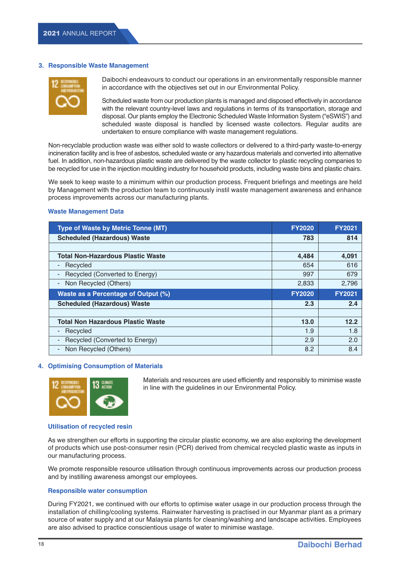#### **3. Responsible Waste Management**



Daibochi endeavours to conduct our operations in an environmentally responsible manner in accordance with the objectives set out in our Environmental Policy.

Scheduled waste from our production plants is managed and disposed effectively in accordance with the relevant country-level laws and regulations in terms of its transportation, storage and disposal. Our plants employ the Electronic Scheduled Waste Information System ("eSWIS") and scheduled waste disposal is handled by licensed waste collectors. Regular audits are undertaken to ensure compliance with waste management regulations.

 Non-recyclable production waste was either sold to waste collectors or delivered to a third-party waste-to-energy incineration facility and is free of asbestos, scheduled waste or any hazardous materials and converted into alternative fuel. In addition, non-hazardous plastic waste are delivered by the waste collector to plastic recycling companies to be recycled for use in the injection moulding industry for household products, including waste bins and plastic chairs.

 We seek to keep waste to a minimum within our production process. Frequent briefings and meetings are held by Management with the production team to continuously instil waste management awareness and enhance process improvements across our manufacturing plants.

#### **Waste Management Data**

| <b>Type of Waste by Metric Tonne (MT)</b>  | <b>FY2020</b> | <b>FY2021</b> |
|--------------------------------------------|---------------|---------------|
| <b>Scheduled (Hazardous) Waste</b>         | 783           | 814           |
|                                            |               |               |
| <b>Total Non-Hazardous Plastic Waste</b>   | 4,484         | 4,091         |
| Recycled                                   | 654           | 616           |
| Recycled (Converted to Energy)             | 997           | 679           |
| Non Recycled (Others)<br>-                 | 2,833         | 2,796         |
| <b>Waste as a Percentage of Output (%)</b> | <b>FY2020</b> | <b>FY2021</b> |
| <b>Scheduled (Hazardous) Waste</b>         | 2.3           | 2.4           |
|                                            |               |               |
|                                            |               |               |
| <b>Total Non Hazardous Plastic Waste</b>   | 13.0          | 12.2          |
| Recycled                                   | 1.9           | 1.8           |
| Recycled (Converted to Energy)             | 2.9           | 2.0           |

#### **4. Optimising Consumption of Materials**



Materials and resources are used efficiently and responsibly to minimise waste in line with the guidelines in our Environmental Policy.

#### **Utilisation of recycled resin**

 As we strengthen our efforts in supporting the circular plastic economy, we are also exploring the development of products which use post-consumer resin (PCR) derived from chemical recycled plastic waste as inputs in our manufacturing process.

 We promote responsible resource utilisation through continuous improvements across our production process and by instilling awareness amongst our employees.

#### **Responsible water consumption**

 During FY2021, we continued with our efforts to optimise water usage in our production process through the installation of chilling/cooling systems. Rainwater harvesting is practised in our Myanmar plant as a primary source of water supply and at our Malaysia plants for cleaning/washing and landscape activities. Employees are also advised to practice conscientious usage of water to minimise wastage.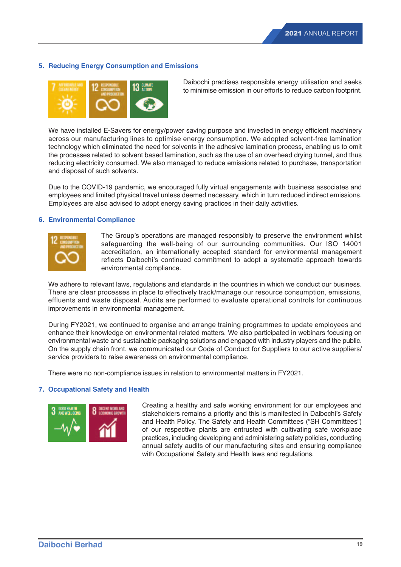## **5. Reducing Energy Consumption and Emissions**



Daibochi practises responsible energy utilisation and seeks to minimise emission in our efforts to reduce carbon footprint.

 We have installed E-Savers for energy/power saving purpose and invested in energy efficient machinery across our manufacturing lines to optimise energy consumption. We adopted solvent-free lamination technology which eliminated the need for solvents in the adhesive lamination process, enabling us to omit the processes related to solvent based lamination, such as the use of an overhead drying tunnel, and thus reducing electricity consumed. We also managed to reduce emissions related to purchase, transportation and disposal of such solvents.

 Due to the COVID-19 pandemic, we encouraged fully virtual engagements with business associates and employees and limited physical travel unless deemed necessary, which in turn reduced indirect emissions. Employees are also advised to adopt energy saving practices in their daily activities.

## **6. Environmental Compliance**



The Group's operations are managed responsibly to preserve the environment whilst safeguarding the well-being of our surrounding communities. Our ISO 14001 accreditation, an internationally accepted standard for environmental management reflects Daibochi's continued commitment to adopt a systematic approach towards environmental compliance.

 We adhere to relevant laws, regulations and standards in the countries in which we conduct our business. There are clear processes in place to effectively track/manage our resource consumption, emissions, effluents and waste disposal. Audits are performed to evaluate operational controls for continuous improvements in environmental management.

 During FY2021, we continued to organise and arrange training programmes to update employees and enhance their knowledge on environmental related matters. We also participated in webinars focusing on environmental waste and sustainable packaging solutions and engaged with industry players and the public. On the supply chain front, we communicated our Code of Conduct for Suppliers to our active suppliers/ service providers to raise awareness on environmental compliance.

There were no non-compliance issues in relation to environmental matters in FY2021.

## **7. Occupational Safety and Health**



Creating a healthy and safe working environment for our employees and stakeholders remains a priority and this is manifested in Daibochi's Safety and Health Policy. The Safety and Health Committees ("SH Committees") of our respective plants are entrusted with cultivating safe workplace practices, including developing and administering safety policies, conducting annual safety audits of our manufacturing sites and ensuring compliance with Occupational Safety and Health laws and regulations.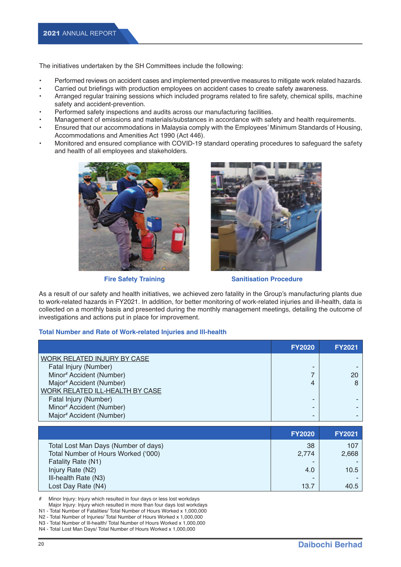The initiatives undertaken by the SH Committees include the following:

- Performed reviews on accident cases and implemented preventive measures to mitigate work related hazards.
- Carried out briefings with production employees on accident cases to create safety awareness.
- Arranged regular training sessions which included programs related to fire safety, chemical spills, machine safety and accident-prevention.
- Performed safety inspections and audits across our manufacturing facilities.
- Management of emissions and materials/substances in accordance with safety and health requirements.
- Ensured that our accommodations in Malaysia comply with the Employees' Minimum Standards of Housing, Accommodations and Amenities Act 1990 (Act 446).
- Monitored and ensured compliance with COVID-19 standard operating procedures to safeguard the safety and health of all employees and stakeholders.





**Fire Safety Training Training Sanitisation Procedure** 

As a result of our safety and health initiatives, we achieved zero fatality in the Group's manufacturing plants due to work-related hazards in FY2021. In addition, for better monitoring of work-related injuries and ill-health, data is collected on a monthly basis and presented during the monthly management meetings, detailing the outcome of investigations and actions put in place for improvement.

## **Total Number and Rate of Work-related Injuries and lll-health**

|                                 | <b>FY2020</b> | <b>FY2021</b> |
|---------------------------------|---------------|---------------|
| WORK RELATED INJURY BY CASE     |               |               |
| Fatal Injury (Number)           |               |               |
| Minor# Accident (Number)        |               | 20            |
| Major# Accident (Number)        |               |               |
| WORK RELATED ILL-HEALTH BY CASE |               |               |
| Fatal Injury (Number)           |               |               |
| Minor# Accident (Number)        |               |               |
| Major# Accident (Number)        |               |               |

|                                      | <b>FY2020</b> | <b>FY2021</b> |
|--------------------------------------|---------------|---------------|
| Total Lost Man Days (Number of days) | 38            | 107           |
| Total Number of Hours Worked ('000)  | 2.774         | 2,668         |
| Fatality Rate (N1)                   |               |               |
| Injury Rate (N2)                     | 4.0           | 10.5          |
| III-health Rate (N3)                 | -             |               |
| Lost Day Rate (N4)                   | 13.7          | 40.5          |

# Minor Injury: Injury which resulted in four days or less lost workdays Major Injury: Injury which resulted in more than four days lost workdays

- N1 Total Number of Fatalities/ Total Number of Hours Worked x 1,000,000
- N2 Total Number of Injuries/ Total Number of Hours Worked x 1,000,000
- N3 Total Number of lll-health/ Total Number of Hours Worked x 1,000,000

N4 - Total Lost Man Days/ Total Number of Hours Worked x 1,000,000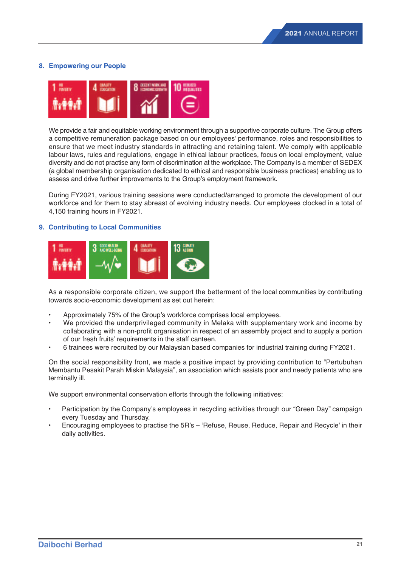# **8. Empowering our People**



 We provide a fair and equitable working environment through a supportive corporate culture. The Group offers a competitive remuneration package based on our employees' performance, roles and responsibilities to ensure that we meet industry standards in attracting and retaining talent. We comply with applicable labour laws, rules and regulations, engage in ethical labour practices, focus on local employment, value diversity and do not practise any form of discrimination at the workplace. The Company is a member of SEDEX (a global membership organisation dedicated to ethical and responsible business practices) enabling us to assess and drive further improvements to the Group's employment framework.

 During FY2021, various training sessions were conducted/arranged to promote the development of our workforce and for them to stay abreast of evolving industry needs. Our employees clocked in a total of 4,150 training hours in FY2021.

## **9. Contributing to Local Communities**



 As a responsible corporate citizen, we support the betterment of the local communities by contributing towards socio-economic development as set out herein:

- Approximately 75% of the Group's workforce comprises local employees.
- We provided the underprivileged community in Melaka with supplementary work and income by collaborating with a non-profit organisation in respect of an assembly project and to supply a portion of our fresh fruits' requirements in the staff canteen.
- 6 trainees were recruited by our Malaysian based companies for industrial training during FY2021.

 On the social responsibility front, we made a positive impact by providing contribution to "Pertubuhan Membantu Pesakit Parah Miskin Malaysia", an association which assists poor and needy patients who are terminally ill.

We support environmental conservation efforts through the following initiatives:

- Participation by the Company's employees in recycling activities through our "Green Day" campaign every Tuesday and Thursday.
- Encouraging employees to practise the 5R's 'Refuse, Reuse, Reduce, Repair and Recycle' in their daily activities.